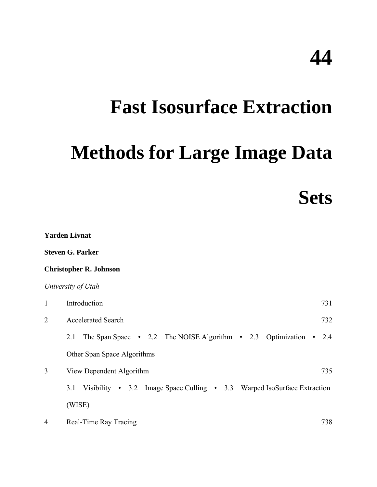# **Fast Isosurface Extraction**

# **Methods for Large Image Data**

**Sets** 

|                | <b>Yarden Livnat</b>                                                           |     |
|----------------|--------------------------------------------------------------------------------|-----|
|                | <b>Steven G. Parker</b>                                                        |     |
|                | <b>Christopher R. Johnson</b>                                                  |     |
|                | University of Utah                                                             |     |
| $\mathbf{1}$   | Introduction                                                                   | 731 |
| $\overline{2}$ | <b>Accelerated Search</b>                                                      | 732 |
|                | The Span Space • 2.2 The NOISE Algorithm • 2.3 Optimization<br>2.1             | 2.4 |
|                | Other Span Space Algorithms                                                    |     |
| 3              | View Dependent Algorithm                                                       | 735 |
|                | Visibility • 3.2 Image Space Culling • 3.3 Warped IsoSurface Extraction<br>3.1 |     |
|                | (WISE)                                                                         |     |
| 4              | Real-Time Ray Tracing                                                          | 738 |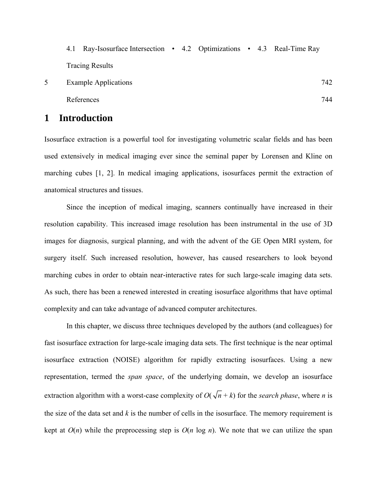| 4.1 Ray-Isosurface Intersection • 4.2 Optimizations • 4.3 Real-Time Ray |  |  |  |  |     |     |
|-------------------------------------------------------------------------|--|--|--|--|-----|-----|
| <b>Tracing Results</b>                                                  |  |  |  |  |     |     |
| <b>Example Applications</b>                                             |  |  |  |  | 742 |     |
| References                                                              |  |  |  |  |     | 744 |

## **1 Introduction**

Isosurface extraction is a powerful tool for investigating volumetric scalar fields and has been used extensively in medical imaging ever since the seminal paper by Lorensen and Kline on marching cubes [1, 2]. In medical imaging applications, isosurfaces permit the extraction of anatomical structures and tissues.

Since the inception of medical imaging, scanners continually have increased in their resolution capability. This increased image resolution has been instrumental in the use of 3D images for diagnosis, surgical planning, and with the advent of the GE Open MRI system, for surgery itself. Such increased resolution, however, has caused researchers to look beyond marching cubes in order to obtain near-interactive rates for such large-scale imaging data sets. As such, there has been a renewed interested in creating isosurface algorithms that have optimal complexity and can take advantage of advanced computer architectures.

In this chapter, we discuss three techniques developed by the authors (and colleagues) for fast isosurface extraction for large-scale imaging data sets. The first technique is the near optimal isosurface extraction (NOISE) algorithm for rapidly extracting isosurfaces. Using a new representation, termed the *span space*, of the underlying domain, we develop an isosurface extraction algorithm with a worst-case complexity of  $O(\sqrt{n} + k)$  for the *search phase*, where *n* is the size of the data set and  $k$  is the number of cells in the isosurface. The memory requirement is kept at  $O(n)$  while the preprocessing step is  $O(n \log n)$ . We note that we can utilize the span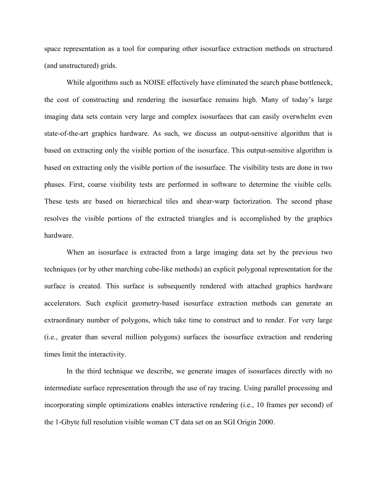space representation as a tool for comparing other isosurface extraction methods on structured (and unstructured) grids.

While algorithms such as NOISE effectively have eliminated the search phase bottleneck, the cost of constructing and rendering the isosurface remains high. Many of today's large imaging data sets contain very large and complex isosurfaces that can easily overwhelm even state-of-the-art graphics hardware. As such, we discuss an output-sensitive algorithm that is based on extracting only the visible portion of the isosurface. This output-sensitive algorithm is based on extracting only the visible portion of the isosurface. The visibility tests are done in two phases. First, coarse visibility tests are performed in software to determine the visible cells. These tests are based on hierarchical tiles and shear-warp factorization. The second phase resolves the visible portions of the extracted triangles and is accomplished by the graphics hardware.

When an isosurface is extracted from a large imaging data set by the previous two techniques (or by other marching cube-like methods) an explicit polygonal representation for the surface is created. This surface is subsequently rendered with attached graphics hardware accelerators. Such explicit geometry-based isosurface extraction methods can generate an extraordinary number of polygons, which take time to construct and to render. For very large (i.e., greater than several million polygons) surfaces the isosurface extraction and rendering times limit the interactivity.

In the third technique we describe, we generate images of isosurfaces directly with no intermediate surface representation through the use of ray tracing. Using parallel processing and incorporating simple optimizations enables interactive rendering (i.e., 10 frames per second) of the 1-Gbyte full resolution visible woman CT data set on an SGI Origin 2000.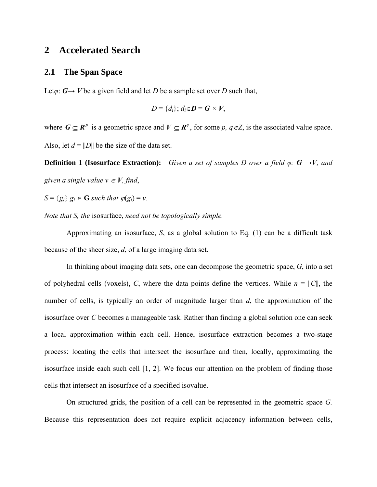## **2 Accelerated Search**

## **2.1 The Span Space**

Let $\varphi$ :  $G \rightarrow V$  be a given field and let *D* be a sample set over *D* such that,

$$
D = \{d_i\};\,d_i \in \mathbf{D} = \mathbf{G} \times \mathbf{V},
$$

where  $G \subseteq R^p$  is a geometric space and  $V \subseteq R^q$ , for some p,  $q \in Z$ , is the associated value space. Also, let  $d = ||D||$  be the size of the data set.

**Definition 1 (Isosurface Extraction):** *Given a set of samples D over a field*  $\varphi$ *:*  $G \rightarrow V$ *, and given a single value*  $v \in V$ *, find,* 

 $S = \{g_i\}$   $g_i \in G$  *such that*  $\varphi(g_i) = v$ .

*Note that S, the* isosurface, *need not be topologically simple.*

Approximating an isosurface, *S*, as a global solution to Eq. (1) can be a difficult task because of the sheer size, *d*, of a large imaging data set.

In thinking about imaging data sets, one can decompose the geometric space, *G*, into a set of polyhedral cells (voxels), *C*, where the data points define the vertices. While  $n = ||C||$ , the number of cells, is typically an order of magnitude larger than *d*, the approximation of the isosurface over *C* becomes a manageable task. Rather than finding a global solution one can seek a local approximation within each cell. Hence, isosurface extraction becomes a two-stage process: locating the cells that intersect the isosurface and then, locally, approximating the isosurface inside each such cell [1, 2]. We focus our attention on the problem of finding those cells that intersect an isosurface of a specified isovalue.

On structured grids, the position of a cell can be represented in the geometric space *G.* Because this representation does not require explicit adjacency information between cells,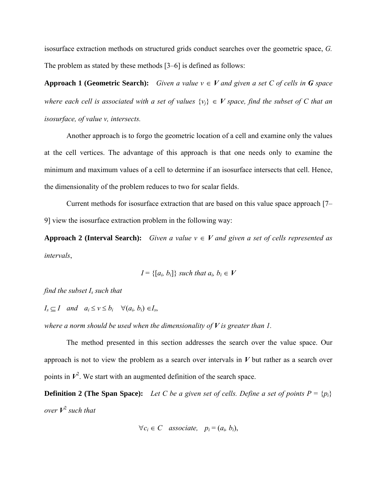isosurface extraction methods on structured grids conduct searches over the geometric space, *G.* The problem as stated by these methods [3–6] is defined as follows:

**Approach 1 (Geometric Search):** *Given a value*  $v \in V$  *and given a set C of cells in G space where each cell is associated with a set of values*  $\{v_i\} \in V$  *space, find the subset of C that an isosurface, of value v, intersects.*

Another approach is to forgo the geometric location of a cell and examine only the values at the cell vertices. The advantage of this approach is that one needs only to examine the minimum and maximum values of a cell to determine if an isosurface intersects that cell. Hence, the dimensionality of the problem reduces to two for scalar fields.

Current methods for isosurface extraction that are based on this value space approach [7– 9] view the isosurface extraction problem in the following way:

**Approach 2 (Interval Search):** *Given a value*  $v \in V$  *and given a set of cells represented as intervals*,

$$
I = \{ [a_i, b_i] \} \text{ such that } a_i, b_i \in V
$$

*find the subset Is such that*

*I<sub>s</sub>* ⊆ *I* and  $a_i \le v \le b_i$   $\forall (a_i, b_i) \in I_s$ ,

*where a norm should be used when the dimensionality of V is greater than 1.*

The method presented in this section addresses the search over the value space. Our approach is not to view the problem as a search over intervals in *V* but rather as a search over points in  $V^2$ . We start with an augmented definition of the search space.

**Definition 2 (The Span Space):** Let C be a given set of cells. Define a set of points  $P = \{p_i\}$ *over V*<sup>2</sup> *such that*

$$
\forall c_i \in C \quad associate, \quad p_i = (a_i, b_i),
$$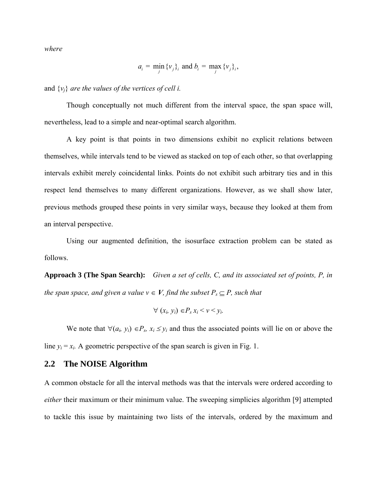*where*

$$
a_i = \min_j \{v_j\}_i \text{ and } b_i = \max_j \{v_j\}_i,
$$

and {*vj*} *are the values of the vertices of cell i.*

Though conceptually not much different from the interval space, the span space will, nevertheless, lead to a simple and near-optimal search algorithm.

A key point is that points in two dimensions exhibit no explicit relations between themselves, while intervals tend to be viewed as stacked on top of each other, so that overlapping intervals exhibit merely coincidental links. Points do not exhibit such arbitrary ties and in this respect lend themselves to many different organizations. However, as we shall show later, previous methods grouped these points in very similar ways, because they looked at them from an interval perspective.

Using our augmented definition, the isosurface extraction problem can be stated as follows.

**Approach 3 (The Span Search):** *Given a set of cells, C, and its associated set of points, P, in the span space, and given a value*  $v \in V$ *, find the subset*  $P_s \subset P$ *, such that* 

$$
\forall (x_i, y_i) \in P_s x_i < v < y_i.
$$

We note that  $\forall (a_i, y_i) \in P_s$ ,  $x_i \leq y_i$  and thus the associated points will lie on or above the line  $y_i = x_i$ . A geometric perspective of the span search is given in Fig. 1.

## **2.2 The NOISE Algorithm**

A common obstacle for all the interval methods was that the intervals were ordered according to *either* their maximum or their minimum value. The sweeping simplicies algorithm [9] attempted to tackle this issue by maintaining two lists of the intervals, ordered by the maximum and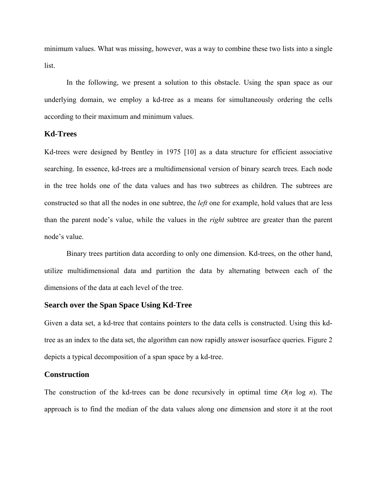minimum values. What was missing, however, was a way to combine these two lists into a single list.

In the following, we present a solution to this obstacle. Using the span space as our underlying domain, we employ a kd-tree as a means for simultaneously ordering the cells according to their maximum and minimum values.

#### **Kd-Trees**

Kd-trees were designed by Bentley in 1975 [10] as a data structure for efficient associative searching. In essence, kd-trees are a multidimensional version of binary search trees. Each node in the tree holds one of the data values and has two subtrees as children. The subtrees are constructed so that all the nodes in one subtree, the *left* one for example, hold values that are less than the parent node's value, while the values in the *right* subtree are greater than the parent node's value.

Binary trees partition data according to only one dimension. Kd-trees, on the other hand, utilize multidimensional data and partition the data by alternating between each of the dimensions of the data at each level of the tree.

## **Search over the Span Space Using Kd-Tree**

Given a data set, a kd-tree that contains pointers to the data cells is constructed. Using this kdtree as an index to the data set, the algorithm can now rapidly answer isosurface queries. Figure 2 depicts a typical decomposition of a span space by a kd-tree.

### **Construction**

The construction of the kd-trees can be done recursively in optimal time *O*(*n* log *n*). The approach is to find the median of the data values along one dimension and store it at the root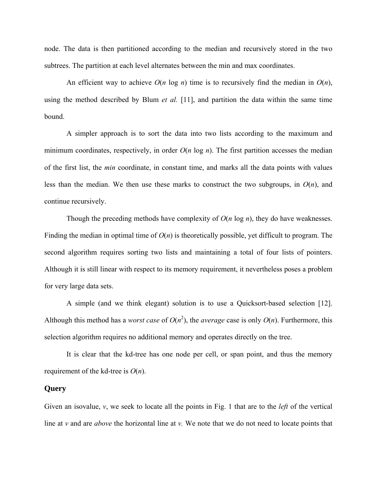node. The data is then partitioned according to the median and recursively stored in the two subtrees. The partition at each level alternates between the min and max coordinates.

An efficient way to achieve  $O(n \log n)$  time is to recursively find the median in  $O(n)$ , using the method described by Blum *et al.* [11], and partition the data within the same time bound.

A simpler approach is to sort the data into two lists according to the maximum and minimum coordinates, respectively, in order  $O(n \log n)$ . The first partition accesses the median of the first list, the *min* coordinate, in constant time, and marks all the data points with values less than the median. We then use these marks to construct the two subgroups, in  $O(n)$ , and continue recursively.

Though the preceding methods have complexity of *O*(*n* log *n*), they do have weaknesses. Finding the median in optimal time of *O*(*n*) is theoretically possible, yet difficult to program. The second algorithm requires sorting two lists and maintaining a total of four lists of pointers. Although it is still linear with respect to its memory requirement, it nevertheless poses a problem for very large data sets.

A simple (and we think elegant) solution is to use a Quicksort-based selection [12]. Although this method has a *worst case* of  $O(n^2)$ , the *average* case is only  $O(n)$ . Furthermore, this selection algorithm requires no additional memory and operates directly on the tree.

It is clear that the kd-tree has one node per cell, or span point, and thus the memory requirement of the kd-tree is *O*(*n*).

### **Query**

Given an isovalue, *v*, we seek to locate all the points in Fig. 1 that are to the *left* of the vertical line at *v* and are *above* the horizontal line at *v.* We note that we do not need to locate points that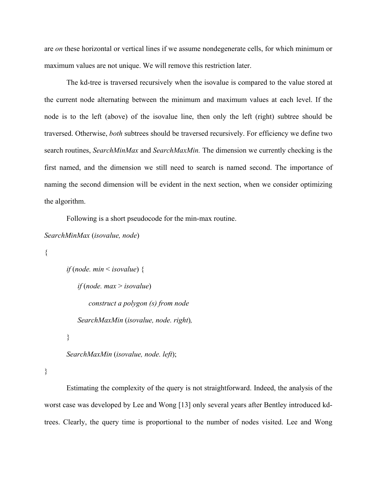are *on* these horizontal or vertical lines if we assume nondegenerate cells, for which minimum or maximum values are not unique. We will remove this restriction later.

The kd-tree is traversed recursively when the isovalue is compared to the value stored at the current node alternating between the minimum and maximum values at each level. If the node is to the left (above) of the isovalue line, then only the left (right) subtree should be traversed. Otherwise, *both* subtrees should be traversed recursively. For efficiency we define two search routines, *SearchMinMax* and *SearchMaxMin.* The dimension we currently checking is the first named, and the dimension we still need to search is named second. The importance of naming the second dimension will be evident in the next section, when we consider optimizing the algorithm.

Following is a short pseudocode for the min-max routine.

### *SearchMinMax* (*isovalue, node*)

```
{ 
if (node. min \le isovalue) {
    if (node. max > isovalue)
        construct a polygon (s) from node 
    SearchMaxMin (isovalue, node. right), 
}
```
*SearchMaxMin* (*isovalue, node. left*);

}

Estimating the complexity of the query is not straightforward. Indeed, the analysis of the worst case was developed by Lee and Wong [13] only several years after Bentley introduced kdtrees. Clearly, the query time is proportional to the number of nodes visited. Lee and Wong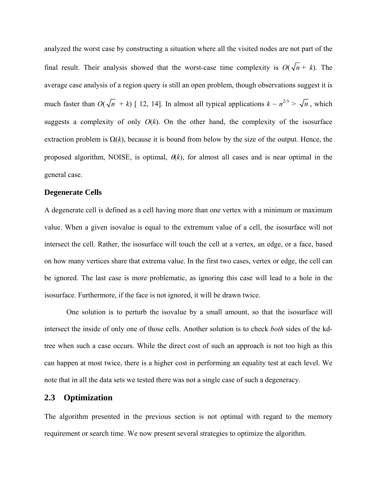analyzed the worst case by constructing a situation where all the visited nodes are not part of the final result. Their analysis showed that the worst-case time complexity is  $O(\sqrt{n} + k)$ . The average case analysis of a region query is still an open problem, though observations suggest it is much faster than  $O(\sqrt{n} + k)$  [ 12, 14]. In almost all typical applications  $k \sim n^{2/3} > \sqrt{n}$ , which suggests a complexity of only  $O(k)$ . On the other hand, the complexity of the isosurface extraction problem is  $\Omega(k)$ , because it is bound from below by the size of the output. Hence, the proposed algorithm, NOISE, is optimal,  $\theta(k)$ , for almost all cases and is near optimal in the general case.

## **Degenerate Cells**

A degenerate cell is defined as a cell having more than one vertex with a minimum or maximum value. When a given isovalue is equal to the extremum value of a cell, the isosurface will not intersect the cell. Rather, the isosurface will touch the cell at a vertex, an edge, or a face, based on how many vertices share that extrema value. In the first two cases, vertex or edge, the cell can be ignored. The last case is more problematic, as ignoring this case will lead to a hole in the isosurface. Furthermore, if the face is not ignored, it will be drawn twice.

One solution is to perturb the isovalue by a small amount, so that the isosurface will intersect the inside of only one of those cells. Another solution is to check *both* sides of the kdtree when such a case occurs. While the direct cost of such an approach is not too high as this can happen at most twice, there is a higher cost in performing an equality test at each level. We note that in all the data sets we tested there was not a single case of such a degeneracy.

## **2.3 Optimization**

The algorithm presented in the previous section is not optimal with regard to the memory requirement or search time. We now present several strategies to optimize the algorithm.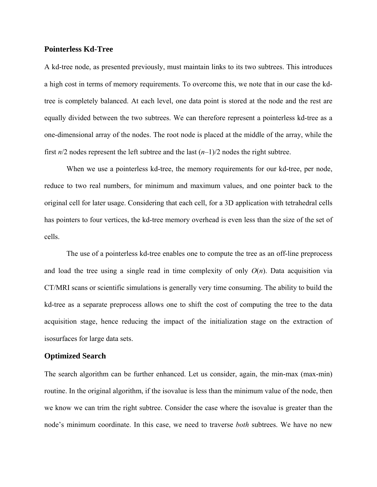## **Pointerless Kd-Tree**

A kd-tree node, as presented previously, must maintain links to its two subtrees. This introduces a high cost in terms of memory requirements. To overcome this, we note that in our case the kdtree is completely balanced. At each level, one data point is stored at the node and the rest are equally divided between the two subtrees. We can therefore represent a pointerless kd-tree as a one-dimensional array of the nodes. The root node is placed at the middle of the array, while the first  $n/2$  nodes represent the left subtree and the last  $(n-1)/2$  nodes the right subtree.

When we use a pointerless kd-tree, the memory requirements for our kd-tree, per node, reduce to two real numbers, for minimum and maximum values, and one pointer back to the original cell for later usage. Considering that each cell, for a 3D application with tetrahedral cells has pointers to four vertices, the kd-tree memory overhead is even less than the size of the set of cells.

The use of a pointerless kd-tree enables one to compute the tree as an off-line preprocess and load the tree using a single read in time complexity of only  $O(n)$ . Data acquisition via CT/MRI scans or scientific simulations is generally very time consuming. The ability to build the kd-tree as a separate preprocess allows one to shift the cost of computing the tree to the data acquisition stage, hence reducing the impact of the initialization stage on the extraction of isosurfaces for large data sets.

## **Optimized Search**

The search algorithm can be further enhanced. Let us consider, again, the min-max (max-min) routine. In the original algorithm, if the isovalue is less than the minimum value of the node, then we know we can trim the right subtree. Consider the case where the isovalue is greater than the node's minimum coordinate. In this case, we need to traverse *both* subtrees. We have no new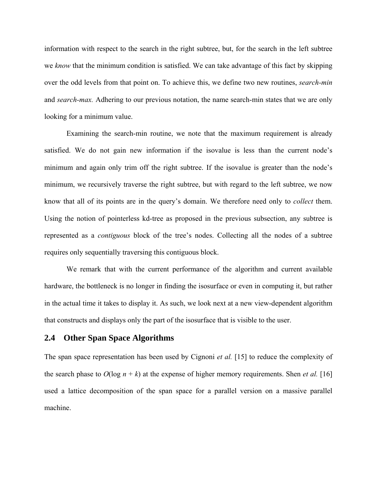information with respect to the search in the right subtree, but, for the search in the left subtree we *know* that the minimum condition is satisfied. We can take advantage of this fact by skipping over the odd levels from that point on. To achieve this, we define two new routines, *search-min* and *search-max.* Adhering to our previous notation, the name search-min states that we are only looking for a minimum value.

Examining the search-min routine, we note that the maximum requirement is already satisfied. We do not gain new information if the isovalue is less than the current node's minimum and again only trim off the right subtree. If the isovalue is greater than the node's minimum, we recursively traverse the right subtree, but with regard to the left subtree, we now know that all of its points are in the query's domain. We therefore need only to *collect* them. Using the notion of pointerless kd-tree as proposed in the previous subsection, any subtree is represented as a *contiguous* block of the tree's nodes. Collecting all the nodes of a subtree requires only sequentially traversing this contiguous block.

We remark that with the current performance of the algorithm and current available hardware, the bottleneck is no longer in finding the isosurface or even in computing it, but rather in the actual time it takes to display it. As such, we look next at a new view-dependent algorithm that constructs and displays only the part of the isosurface that is visible to the user.

## **2.4 Other Span Space Algorithms**

The span space representation has been used by Cignoni *et al.* [15] to reduce the complexity of the search phase to  $O(\log n + k)$  at the expense of higher memory requirements. Shen *et al.* [16] used a lattice decomposition of the span space for a parallel version on a massive parallel machine.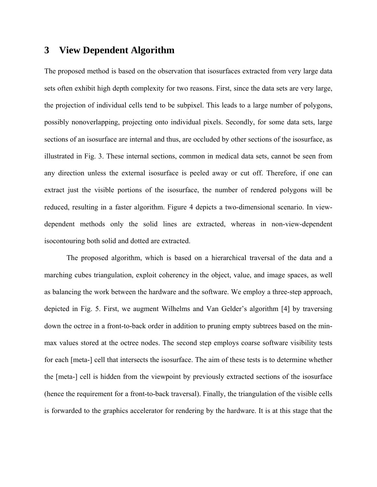# **3 View Dependent Algorithm**

The proposed method is based on the observation that isosurfaces extracted from very large data sets often exhibit high depth complexity for two reasons. First, since the data sets are very large, the projection of individual cells tend to be subpixel. This leads to a large number of polygons, possibly nonoverlapping, projecting onto individual pixels. Secondly, for some data sets, large sections of an isosurface are internal and thus, are occluded by other sections of the isosurface, as illustrated in Fig. 3. These internal sections, common in medical data sets, cannot be seen from any direction unless the external isosurface is peeled away or cut off. Therefore, if one can extract just the visible portions of the isosurface, the number of rendered polygons will be reduced, resulting in a faster algorithm. Figure 4 depicts a two-dimensional scenario. In viewdependent methods only the solid lines are extracted, whereas in non-view-dependent isocontouring both solid and dotted are extracted.

The proposed algorithm, which is based on a hierarchical traversal of the data and a marching cubes triangulation, exploit coherency in the object, value, and image spaces, as well as balancing the work between the hardware and the software. We employ a three-step approach, depicted in Fig. 5. First, we augment Wilhelms and Van Gelder's algorithm [4] by traversing down the octree in a front-to-back order in addition to pruning empty subtrees based on the minmax values stored at the octree nodes. The second step employs coarse software visibility tests for each [meta-] cell that intersects the isosurface. The aim of these tests is to determine whether the [meta-] cell is hidden from the viewpoint by previously extracted sections of the isosurface (hence the requirement for a front-to-back traversal). Finally, the triangulation of the visible cells is forwarded to the graphics accelerator for rendering by the hardware. It is at this stage that the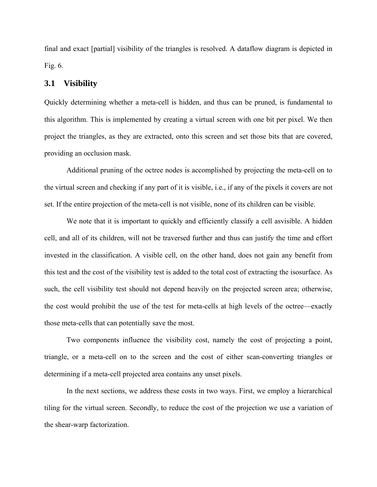final and exact [partial] visibility of the triangles is resolved. A dataflow diagram is depicted in Fig. 6.

### **3.1 Visibility**

Quickly determining whether a meta-cell is hidden, and thus can be pruned, is fundamental to this algorithm. This is implemented by creating a virtual screen with one bit per pixel. We then project the triangles, as they are extracted, onto this screen and set those bits that are covered, providing an occlusion mask.

Additional pruning of the octree nodes is accomplished by projecting the meta-cell on to the virtual screen and checking if any part of it is visible, i.e., if any of the pixels it covers are not set. If the entire projection of the meta-cell is not visible, none of its children can be visible.

We note that it is important to quickly and efficiently classify a cell asvisible. A hidden cell, and all of its children, will not be traversed further and thus can justify the time and effort invested in the classification. A visible cell, on the other hand, does not gain any benefit from this test and the cost of the visibility test is added to the total cost of extracting the isosurface. As such, the cell visibility test should not depend heavily on the projected screen area; otherwise, the cost would prohibit the use of the test for meta-cells at high levels of the octree—exactly those meta-cells that can potentially save the most.

Two components influence the visibility cost, namely the cost of projecting a point, triangle, or a meta-cell on to the screen and the cost of either scan-converting triangles or determining if a meta-cell projected area contains any unset pixels.

In the next sections, we address these costs in two ways. First, we employ a hierarchical tiling for the virtual screen. Secondly, to reduce the cost of the projection we use a variation of the shear-warp factorization.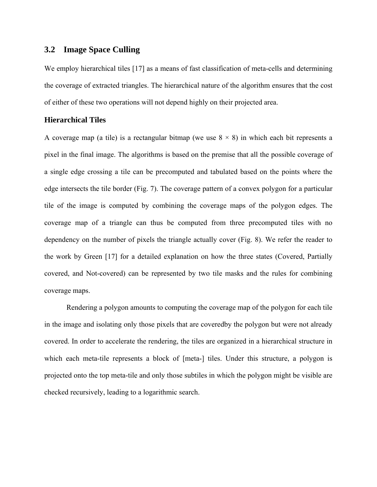## **3.2 Image Space Culling**

We employ hierarchical tiles [17] as a means of fast classification of meta-cells and determining the coverage of extracted triangles. The hierarchical nature of the algorithm ensures that the cost of either of these two operations will not depend highly on their projected area.

## **Hierarchical Tiles**

A coverage map (a tile) is a rectangular bitmap (we use  $8 \times 8$ ) in which each bit represents a pixel in the final image. The algorithms is based on the premise that all the possible coverage of a single edge crossing a tile can be precomputed and tabulated based on the points where the edge intersects the tile border (Fig. 7). The coverage pattern of a convex polygon for a particular tile of the image is computed by combining the coverage maps of the polygon edges. The coverage map of a triangle can thus be computed from three precomputed tiles with no dependency on the number of pixels the triangle actually cover (Fig. 8). We refer the reader to the work by Green [17] for a detailed explanation on how the three states (Covered, Partially covered, and Not-covered) can be represented by two tile masks and the rules for combining coverage maps.

Rendering a polygon amounts to computing the coverage map of the polygon for each tile in the image and isolating only those pixels that are coveredby the polygon but were not already covered. In order to accelerate the rendering, the tiles are organized in a hierarchical structure in which each meta-tile represents a block of [meta-] tiles. Under this structure, a polygon is projected onto the top meta-tile and only those subtiles in which the polygon might be visible are checked recursively, leading to a logarithmic search.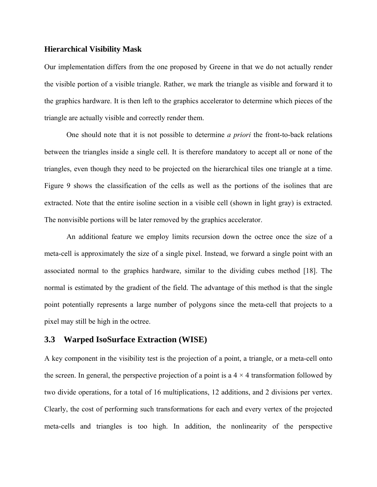#### **Hierarchical Visibility Mask**

Our implementation differs from the one proposed by Greene in that we do not actually render the visible portion of a visible triangle. Rather, we mark the triangle as visible and forward it to the graphics hardware. It is then left to the graphics accelerator to determine which pieces of the triangle are actually visible and correctly render them.

One should note that it is not possible to determine *a priori* the front-to-back relations between the triangles inside a single cell. It is therefore mandatory to accept all or none of the triangles, even though they need to be projected on the hierarchical tiles one triangle at a time. Figure 9 shows the classification of the cells as well as the portions of the isolines that are extracted. Note that the entire isoline section in a visible cell (shown in light gray) is extracted. The nonvisible portions will be later removed by the graphics accelerator.

An additional feature we employ limits recursion down the octree once the size of a meta-cell is approximately the size of a single pixel. Instead, we forward a single point with an associated normal to the graphics hardware, similar to the dividing cubes method [18]. The normal is estimated by the gradient of the field. The advantage of this method is that the single point potentially represents a large number of polygons since the meta-cell that projects to a pixel may still be high in the octree.

## **3.3 Warped IsoSurface Extraction (WISE)**

A key component in the visibility test is the projection of a point, a triangle, or a meta-cell onto the screen. In general, the perspective projection of a point is a  $4 \times 4$  transformation followed by two divide operations, for a total of 16 multiplications, 12 additions, and 2 divisions per vertex. Clearly, the cost of performing such transformations for each and every vertex of the projected meta-cells and triangles is too high. In addition, the nonlinearity of the perspective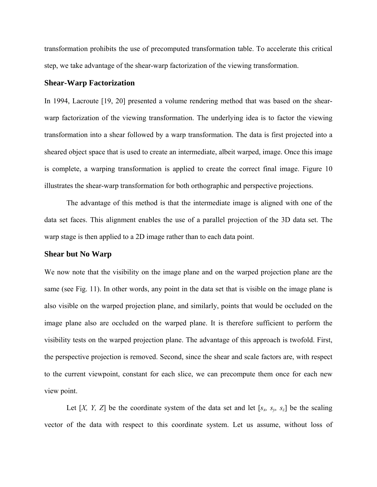transformation prohibits the use of precomputed transformation table. To accelerate this critical step, we take advantage of the shear-warp factorization of the viewing transformation.

#### **Shear-Warp Factorization**

In 1994, Lacroute [19, 20] presented a volume rendering method that was based on the shearwarp factorization of the viewing transformation. The underlying idea is to factor the viewing transformation into a shear followed by a warp transformation. The data is first projected into a sheared object space that is used to create an intermediate, albeit warped, image. Once this image is complete, a warping transformation is applied to create the correct final image. Figure 10 illustrates the shear-warp transformation for both orthographic and perspective projections.

The advantage of this method is that the intermediate image is aligned with one of the data set faces. This alignment enables the use of a parallel projection of the 3D data set. The warp stage is then applied to a 2D image rather than to each data point.

#### **Shear but No Warp**

We now note that the visibility on the image plane and on the warped projection plane are the same (see Fig. 11). In other words, any point in the data set that is visible on the image plane is also visible on the warped projection plane, and similarly, points that would be occluded on the image plane also are occluded on the warped plane. It is therefore sufficient to perform the visibility tests on the warped projection plane. The advantage of this approach is twofold. First, the perspective projection is removed. Second, since the shear and scale factors are, with respect to the current viewpoint, constant for each slice, we can precompute them once for each new view point.

Let [*X, Y, Z*] be the coordinate system of the data set and let  $[s_x, s_y, s_z]$  be the scaling vector of the data with respect to this coordinate system. Let us assume, without loss of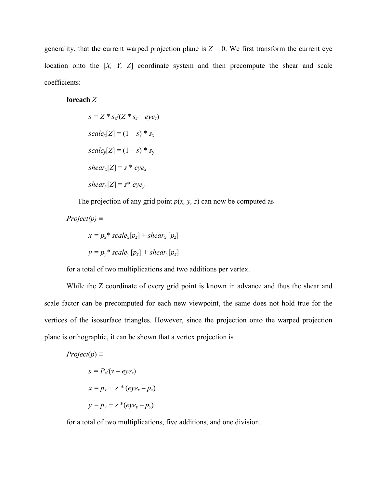generality, that the current warped projection plane is  $Z = 0$ . We first transform the current eye location onto the [*X, Y, Z*] coordinate system and then precompute the shear and scale coefficients:

## **foreach** *Z*

$$
s = Z * s_z/(Z * s_z - eye_z)
$$
  
\n
$$
scale_x[Z] = (1 - s) * s_x
$$
  
\n
$$
scale_y[Z] = (1 - s) * s_y
$$
  
\n
$$
shear_x[Z] = s * eye_x
$$
  
\n
$$
shear_y[Z] = s * eye_y
$$

The projection of any grid point  $p(x, y, z)$  can now be computed as

$$
Project(p) \equiv
$$
\n
$$
x = p_x * scale_x[p_z] + shear_x[p_z]
$$
\n
$$
y = p_y * scale_y[p_z] + shear_y[p_z]
$$

for a total of two multiplications and two additions per vertex.

While the Z coordinate of every grid point is known in advance and thus the shear and scale factor can be precomputed for each new viewpoint, the same does not hold true for the vertices of the isosurface triangles. However, since the projection onto the warped projection plane is orthographic, it can be shown that a vertex projection is

*Project(p)* ≡  
\n
$$
s = P_z/(z - eye_z)
$$
\n
$$
x = p_x + s * (eye_x - p_x)
$$
\n
$$
y = p_y + s * (eye_y - p_y)
$$

for a total of two multiplications, five additions, and one division.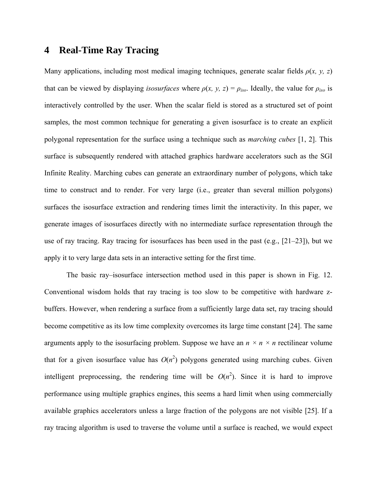## **4 Real-Time Ray Tracing**

Many applications, including most medical imaging techniques, generate scalar fields *ρ*(*x, y, z*) that can be viewed by displaying *isosurfaces* where  $\rho(x, y, z) = \rho_{iso}$ . Ideally, the value for  $\rho_{iso}$  is interactively controlled by the user. When the scalar field is stored as a structured set of point samples, the most common technique for generating a given isosurface is to create an explicit polygonal representation for the surface using a technique such as *marching cubes* [1, 2]. This surface is subsequently rendered with attached graphics hardware accelerators such as the SGI Infinite Reality. Marching cubes can generate an extraordinary number of polygons, which take time to construct and to render. For very large (i.e., greater than several million polygons) surfaces the isosurface extraction and rendering times limit the interactivity. In this paper, we generate images of isosurfaces directly with no intermediate surface representation through the use of ray tracing. Ray tracing for isosurfaces has been used in the past (e.g., [21–23]), but we apply it to very large data sets in an interactive setting for the first time.

The basic ray–isosurface intersection method used in this paper is shown in Fig. 12. Conventional wisdom holds that ray tracing is too slow to be competitive with hardware zbuffers. However, when rendering a surface from a sufficiently large data set, ray tracing should become competitive as its low time complexity overcomes its large time constant [24]. The same arguments apply to the isosurfacing problem. Suppose we have an  $n \times n \times n$  rectilinear volume that for a given isosurface value has  $O(n^2)$  polygons generated using marching cubes. Given intelligent preprocessing, the rendering time will be  $O(n^2)$ . Since it is hard to improve performance using multiple graphics engines, this seems a hard limit when using commercially available graphics accelerators unless a large fraction of the polygons are not visible [25]. If a ray tracing algorithm is used to traverse the volume until a surface is reached, we would expect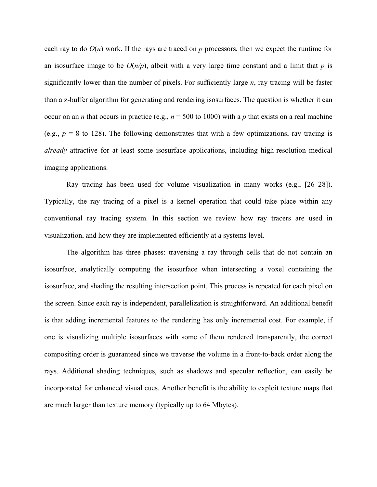each ray to do  $O(n)$  work. If the rays are traced on p processors, then we expect the runtime for an isosurface image to be  $O(n/p)$ , albeit with a very large time constant and a limit that p is significantly lower than the number of pixels. For sufficiently large *n*, ray tracing will be faster than a z-buffer algorithm for generating and rendering isosurfaces. The question is whether it can occur on an *n* that occurs in practice (e.g.,  $n = 500$  to 1000) with a *p* that exists on a real machine (e.g.,  $p = 8$  to 128). The following demonstrates that with a few optimizations, ray tracing is *already* attractive for at least some isosurface applications, including high-resolution medical imaging applications.

Ray tracing has been used for volume visualization in many works (e.g., [26–28]). Typically, the ray tracing of a pixel is a kernel operation that could take place within any conventional ray tracing system. In this section we review how ray tracers are used in visualization, and how they are implemented efficiently at a systems level.

The algorithm has three phases: traversing a ray through cells that do not contain an isosurface, analytically computing the isosurface when intersecting a voxel containing the isosurface, and shading the resulting intersection point. This process is repeated for each pixel on the screen. Since each ray is independent, parallelization is straightforward. An additional benefit is that adding incremental features to the rendering has only incremental cost. For example, if one is visualizing multiple isosurfaces with some of them rendered transparently, the correct compositing order is guaranteed since we traverse the volume in a front-to-back order along the rays. Additional shading techniques, such as shadows and specular reflection, can easily be incorporated for enhanced visual cues. Another benefit is the ability to exploit texture maps that are much larger than texture memory (typically up to 64 Mbytes).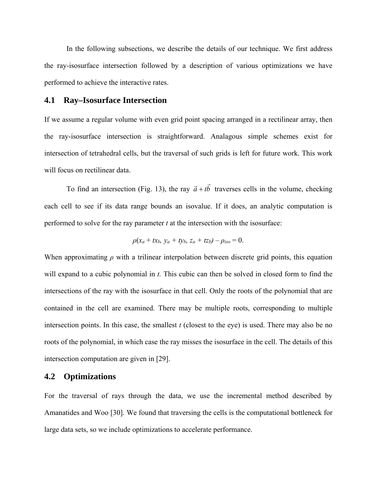In the following subsections, we describe the details of our technique. We first address the ray-isosurface intersection followed by a description of various optimizations we have performed to achieve the interactive rates.

## **4.1 Ray–Isosurface Intersection**

If we assume a regular volume with even grid point spacing arranged in a rectilinear array, then the ray-isosurface intersection is straightforward. Analagous simple schemes exist for intersection of tetrahedral cells, but the traversal of such grids is left for future work. This work will focus on rectilinear data.

To find an intersection (Fig. 13), the ray  $\vec{a} + t\vec{b}$  traverses cells in the volume, checking each cell to see if its data range bounds an isovalue. If it does, an analytic computation is performed to solve for the ray parameter *t* at the intersection with the isosurface:

$$
\rho(x_a + tx_b, y_a + ty_b, z_a + tz_b) - \rho_{iso} = 0.
$$

When approximating *ρ* with a trilinear interpolation between discrete grid points, this equation will expand to a cubic polynomial in *t.* This cubic can then be solved in closed form to find the intersections of the ray with the isosurface in that cell. Only the roots of the polynomial that are contained in the cell are examined. There may be multiple roots, corresponding to multiple intersection points. In this case, the smallest *t* (closest to the eye) is used. There may also be no roots of the polynomial, in which case the ray misses the isosurface in the cell. The details of this intersection computation are given in [29].

## **4.2 Optimizations**

For the traversal of rays through the data, we use the incremental method described by Amanatides and Woo [30]. We found that traversing the cells is the computational bottleneck for large data sets, so we include optimizations to accelerate performance.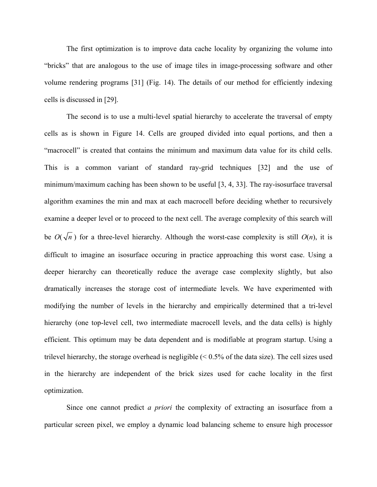The first optimization is to improve data cache locality by organizing the volume into "bricks" that are analogous to the use of image tiles in image-processing software and other volume rendering programs [31] (Fig. 14). The details of our method for efficiently indexing cells is discussed in [29].

The second is to use a multi-level spatial hierarchy to accelerate the traversal of empty cells as is shown in Figure 14. Cells are grouped divided into equal portions, and then a "macrocell" is created that contains the minimum and maximum data value for its child cells. This is a common variant of standard ray-grid techniques [32] and the use of minimum/maximum caching has been shown to be useful [3, 4, 33]. The ray-isosurface traversal algorithm examines the min and max at each macrocell before deciding whether to recursively examine a deeper level or to proceed to the next cell. The average complexity of this search will be  $O(\sqrt{n})$  for a three-level hierarchy. Although the worst-case complexity is still  $O(n)$ , it is difficult to imagine an isosurface occuring in practice approaching this worst case. Using a deeper hierarchy can theoretically reduce the average case complexity slightly, but also dramatically increases the storage cost of intermediate levels. We have experimented with modifying the number of levels in the hierarchy and empirically determined that a tri-level hierarchy (one top-level cell, two intermediate macrocell levels, and the data cells) is highly efficient. This optimum may be data dependent and is modifiable at program startup. Using a trilevel hierarchy, the storage overhead is negligible (< 0.5% of the data size). The cell sizes used in the hierarchy are independent of the brick sizes used for cache locality in the first optimization.

Since one cannot predict *a priori* the complexity of extracting an isosurface from a particular screen pixel, we employ a dynamic load balancing scheme to ensure high processor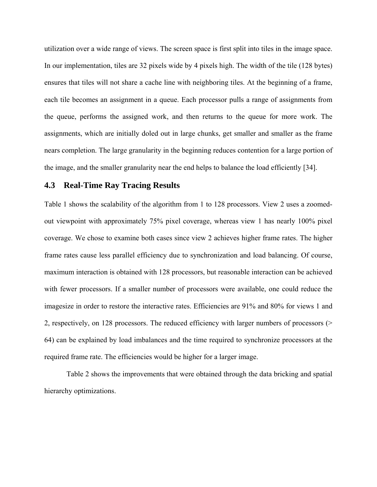utilization over a wide range of views. The screen space is first split into tiles in the image space. In our implementation, tiles are 32 pixels wide by 4 pixels high. The width of the tile (128 bytes) ensures that tiles will not share a cache line with neighboring tiles. At the beginning of a frame, each tile becomes an assignment in a queue. Each processor pulls a range of assignments from the queue, performs the assigned work, and then returns to the queue for more work. The assignments, which are initially doled out in large chunks, get smaller and smaller as the frame nears completion. The large granularity in the beginning reduces contention for a large portion of the image, and the smaller granularity near the end helps to balance the load efficiently [34].

## **4.3 Real-Time Ray Tracing Results**

Table 1 shows the scalability of the algorithm from 1 to 128 processors. View 2 uses a zoomedout viewpoint with approximately 75% pixel coverage, whereas view 1 has nearly 100% pixel coverage. We chose to examine both cases since view 2 achieves higher frame rates. The higher frame rates cause less parallel efficiency due to synchronization and load balancing. Of course, maximum interaction is obtained with 128 processors, but reasonable interaction can be achieved with fewer processors. If a smaller number of processors were available, one could reduce the imagesize in order to restore the interactive rates. Efficiencies are 91% and 80% for views 1 and 2, respectively, on 128 processors. The reduced efficiency with larger numbers of processors (> 64) can be explained by load imbalances and the time required to synchronize processors at the required frame rate. The efficiencies would be higher for a larger image.

Table 2 shows the improvements that were obtained through the data bricking and spatial hierarchy optimizations.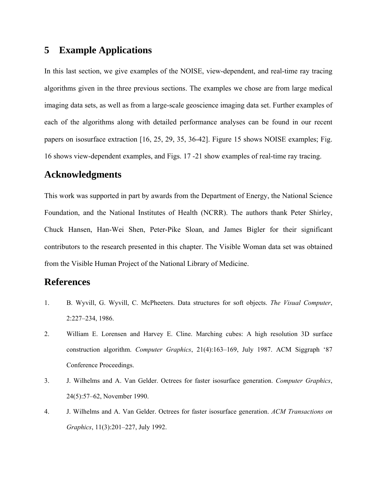# **5 Example Applications**

In this last section, we give examples of the NOISE, view-dependent, and real-time ray tracing algorithms given in the three previous sections. The examples we chose are from large medical imaging data sets, as well as from a large-scale geoscience imaging data set. Further examples of each of the algorithms along with detailed performance analyses can be found in our recent papers on isosurface extraction [16, 25, 29, 35, 36-42]. Figure 15 shows NOISE examples; Fig. 16 shows view-dependent examples, and Figs. 17 -21 show examples of real-time ray tracing.

# **Acknowledgments**

This work was supported in part by awards from the Department of Energy, the National Science Foundation, and the National Institutes of Health (NCRR). The authors thank Peter Shirley, Chuck Hansen, Han-Wei Shen, Peter-Pike Sloan, and James Bigler for their significant contributors to the research presented in this chapter. The Visible Woman data set was obtained from the Visible Human Project of the National Library of Medicine.

# **References**

- 1. B. Wyvill, G. Wyvill, C. McPheeters. Data structures for soft objects. *The Visual Computer*, 2:227–234, 1986.
- 2. William E. Lorensen and Harvey E. Cline. Marching cubes: A high resolution 3D surface construction algorithm. *Computer Graphics*, 21(4):163–169, July 1987. ACM Siggraph '87 Conference Proceedings.
- 3. J. Wilhelms and A. Van Gelder. Octrees for faster isosurface generation. *Computer Graphics*, 24(5):57–62, November 1990.
- 4. J. Wilhelms and A. Van Gelder. Octrees for faster isosurface generation. *ACM Transactions on Graphics*, 11(3):201–227, July 1992.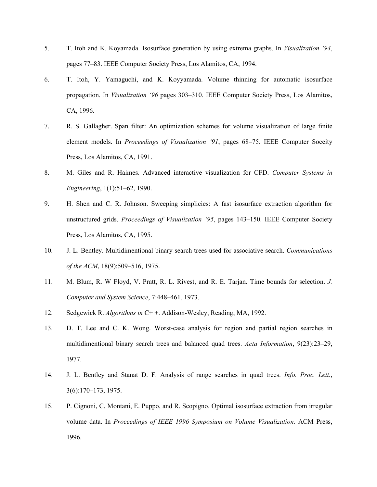- 5. T. Itoh and K. Koyamada. Isosurface generation by using extrema graphs. In *Visualization '94*, pages 77–83. IEEE Computer Society Press, Los Alamitos, CA, 1994.
- 6. T. Itoh, Y. Yamaguchi, and K. Koyyamada. Volume thinning for automatic isosurface propagation. In *Visualization '96* pages 303–310. IEEE Computer Society Press, Los Alamitos, CA, 1996.
- 7. R. S. Gallagher. Span filter: An optimization schemes for volume visualization of large finite element models. In *Proceedings of Visualization '91*, pages 68–75. IEEE Computer Soceity Press, Los Alamitos, CA, 1991.
- 8. M. Giles and R. Haimes. Advanced interactive visualization for CFD. *Computer Systems in Engineering*, 1(1):51–62, 1990.
- 9. H. Shen and C. R. Johnson. Sweeping simplicies: A fast isosurface extraction algorithm for unstructured grids. *Proceedings of Visualization '95*, pages 143–150. IEEE Computer Society Press, Los Alamitos, CA, 1995.
- 10. J. L. Bentley. Multidimentional binary search trees used for associative search. *Communications of the ACM*, 18(9):509–516, 1975.
- 11. M. Blum, R. W Floyd, V. Pratt, R. L. Rivest, and R. E. Tarjan. Time bounds for selection. *J. Computer and System Science*, 7:448–461, 1973.
- 12. Sedgewick R. *Algorithms in* C+ +. Addison-Wesley, Reading, MA, 1992.
- 13. D. T. Lee and C. K. Wong. Worst-case analysis for region and partial region searches in multidimentional binary search trees and balanced quad trees. *Acta Information*, 9(23):23–29, 1977.
- 14. J. L. Bentley and Stanat D. F. Analysis of range searches in quad trees. *Info. Proc. Lett.*, 3(6):170–173, 1975.
- 15. P. Cignoni, C. Montani, E. Puppo, and R. Scopigno. Optimal isosurface extraction from irregular volume data. In *Proceedings of IEEE 1996 Symposium on Volume Visualization.* ACM Press, 1996.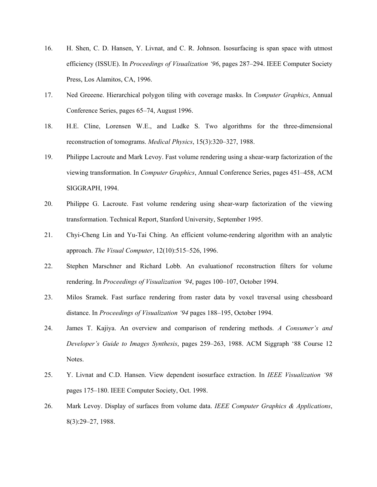- 16. H. Shen, C. D. Hansen, Y. Livnat, and C. R. Johnson. Isosurfacing is span space with utmost efficiency (ISSUE). In *Proceedings of Visualization '96*, pages 287–294. IEEE Computer Society Press, Los Alamitos, CA, 1996.
- 17. Ned Greeene. Hierarchical polygon tiling with coverage masks. In *Computer Graphics*, Annual Conference Series, pages 65–74, August 1996.
- 18. H.E. Cline, Lorensen W.E., and Ludke S. Two algorithms for the three-dimensional reconstruction of tomograms. *Medical Physics*, 15(3):320–327, 1988.
- 19. Philippe Lacroute and Mark Levoy. Fast volume rendering using a shear-warp factorization of the viewing transformation. In *Computer Graphics*, Annual Conference Series, pages 451–458, ACM SIGGRAPH, 1994.
- 20. Philippe G. Lacroute. Fast volume rendering using shear-warp factorization of the viewing transformation. Technical Report, Stanford University, September 1995.
- 21. Chyi-Cheng Lin and Yu-Tai Ching. An efficient volume-rendering algorithm with an analytic approach. *The Visual Computer*, 12(10):515–526, 1996.
- 22. Stephen Marschner and Richard Lobb. An evaluationof reconstruction filters for volume rendering. In *Proceedings of Visualization '94*, pages 100–107, October 1994.
- 23. Milos Sramek. Fast surface rendering from raster data by voxel traversal using chessboard distance. In *Proceedings of Visualization '94* pages 188–195, October 1994.
- 24. James T. Kajiya. An overview and comparison of rendering methods. *A Consumer's and Developer's Guide to Images Synthesis*, pages 259–263, 1988. ACM Siggraph '88 Course 12 Notes.
- 25. Y. Livnat and C.D. Hansen. View dependent isosurface extraction. In *IEEE Visualization '98* pages 175–180. IEEE Computer Society, Oct. 1998.
- 26. Mark Levoy. Display of surfaces from volume data. *IEEE Computer Graphics & Applications*, 8(3):29–27, 1988.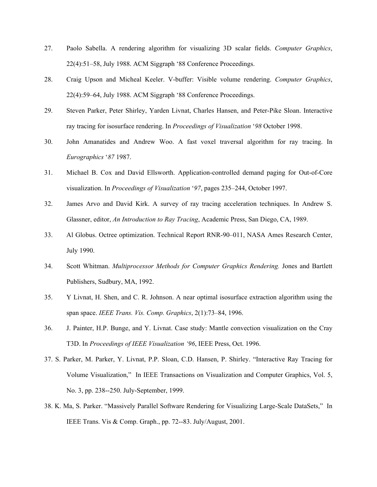- 27. Paolo Sabella. A rendering algorithm for visualizing 3D scalar fields. *Computer Graphics*, 22(4):51–58, July 1988. ACM Siggraph '88 Conference Proceedings.
- 28. Craig Upson and Micheal Keeler. V-buffer: Visible volume rendering. *Computer Graphics*, 22(4):59–64, July 1988. ACM Siggraph '88 Conference Proceedings.
- 29. Steven Parker, Peter Shirley, Yarden Livnat, Charles Hansen, and Peter-Pike Sloan. Interactive ray tracing for isosurface rendering. In *Proceedings of Visualization* '*98* October 1998.
- 30. John Amanatides and Andrew Woo. A fast voxel traversal algorithm for ray tracing. In *Eurographics* '*87* 1987.
- 31. Michael B. Cox and David Ellsworth. Application-controlled demand paging for Out-of-Core visualization. In *Proceedings of Visualization* '*97*, pages 235–244, October 1997.
- 32. James Arvo and David Kirk. A survey of ray tracing acceleration techniques. In Andrew S. Glassner, editor, *An Introduction to Ray Tracing*, Academic Press, San Diego, CA, 1989.
- 33. Al Globus. Octree optimization. Technical Report RNR-90–011, NASA Ames Research Center, July 1990.
- 34. Scott Whitman. *Multiprocessor Methods for Computer Graphics Rendering.* Jones and Bartlett Publishers, Sudbury, MA, 1992.
- 35. Y Livnat, H. Shen, and C. R. Johnson. A near optimal isosurface extraction algorithm using the span space. *IEEE Trans. Vis. Comp. Graphics*, 2(1):73–84, 1996.
- 36. J. Painter, H.P. Bunge, and Y. Livnat. Case study: Mantle convection visualization on the Cray T3D. In *Proceedings of IEEE Visualization '96*, IEEE Press, Oct. 1996.
- 37. S. Parker, M. Parker, Y. Livnat, P.P. Sloan, C.D. Hansen, P. Shirley. "Interactive Ray Tracing for Volume Visualization," In IEEE Transactions on Visualization and Computer Graphics, Vol. 5, No. 3, pp. 238--250. July-September, 1999.
- 38. K. Ma, S. Parker. "Massively Parallel Software Rendering for Visualizing Large-Scale DataSets," In IEEE Trans. Vis & Comp. Graph., pp. 72--83. July/August, 2001.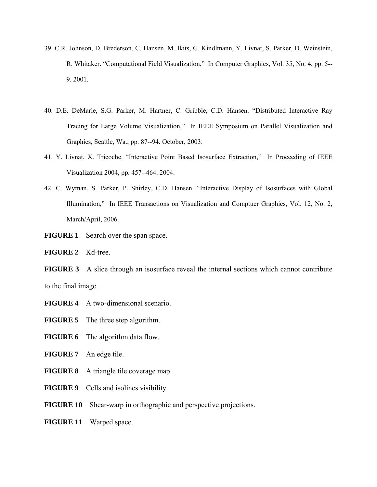- 39. C.R. Johnson, D. Brederson, C. Hansen, M. Ikits, G. Kindlmann, Y. Livnat, S. Parker, D. Weinstein, R. Whitaker. "Computational Field Visualization," In Computer Graphics, Vol. 35, No. 4, pp. 5-- 9. 2001.
- 40. D.E. DeMarle, S.G. Parker, M. Hartner, C. Gribble, C.D. Hansen. "Distributed Interactive Ray Tracing for Large Volume Visualization," In IEEE Symposium on Parallel Visualization and Graphics, Seattle, Wa., pp. 87--94. October, 2003.
- 41. Y. Livnat, X. Tricoche. "Interactive Point Based Isosurface Extraction," In Proceeding of IEEE Visualization 2004, pp. 457--464. 2004.
- 42. C. Wyman, S. Parker, P. Shirley, C.D. Hansen. "Interactive Display of Isosurfaces with Global Illumination," In IEEE Transactions on Visualization and Comptuer Graphics, Vol. 12, No. 2, March/April, 2006.
- **FIGURE 1** Search over the span space.

#### **FIGURE 2** Kd-tree.

**FIGURE 3** A slice through an isosurface reveal the internal sections which cannot contribute to the final image.

- **FIGURE 4** A two-dimensional scenario.
- **FIGURE 5** The three step algorithm.
- **FIGURE 6** The algorithm data flow.
- **FIGURE 7** An edge tile.
- **FIGURE 8** A triangle tile coverage map.
- **FIGURE 9** Cells and isolines visibility.
- **FIGURE 10** Shear-warp in orthographic and perspective projections.
- **FIGURE 11** Warped space.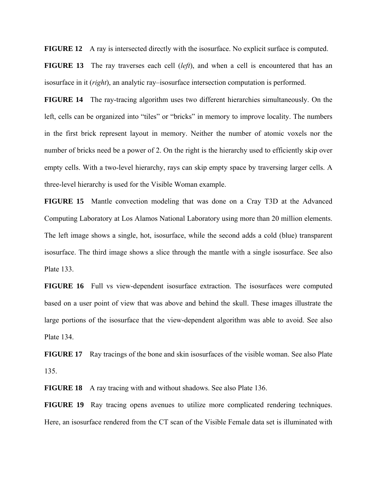**FIGURE 12** A ray is intersected directly with the isosurface. No explicit surface is computed.

**FIGURE 13** The ray traverses each cell (*left*), and when a cell is encountered that has an isosurface in it (*right*), an analytic ray–isosurface intersection computation is performed.

**FIGURE 14** The ray-tracing algorithm uses two different hierarchies simultaneously. On the left, cells can be organized into "tiles" or "bricks" in memory to improve locality. The numbers in the first brick represent layout in memory. Neither the number of atomic voxels nor the number of bricks need be a power of 2. On the right is the hierarchy used to efficiently skip over empty cells. With a two-level hierarchy, rays can skip empty space by traversing larger cells. A three-level hierarchy is used for the Visible Woman example.

**FIGURE 15** Mantle convection modeling that was done on a Cray T3D at the Advanced Computing Laboratory at Los Alamos National Laboratory using more than 20 million elements. The left image shows a single, hot, isosurface, while the second adds a cold (blue) transparent isosurface. The third image shows a slice through the mantle with a single isosurface. See also Plate 133.

**FIGURE 16** Full vs view-dependent isosurface extraction. The isosurfaces were computed based on a user point of view that was above and behind the skull. These images illustrate the large portions of the isosurface that the view-dependent algorithm was able to avoid. See also Plate 134.

**FIGURE 17** Ray tracings of the bone and skin isosurfaces of the visible woman. See also Plate 135.

**FIGURE 18** A ray tracing with and without shadows. See also Plate 136.

**FIGURE 19** Ray tracing opens avenues to utilize more complicated rendering techniques. Here, an isosurface rendered from the CT scan of the Visible Female data set is illuminated with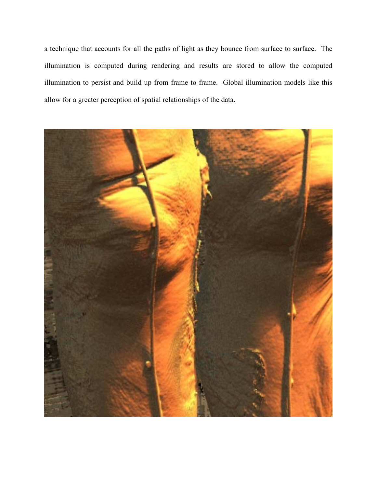a technique that accounts for all the paths of light as they bounce from surface to surface. The illumination is computed during rendering and results are stored to allow the computed illumination to persist and build up from frame to frame. Global illumination models like this allow for a greater perception of spatial relationships of the data.

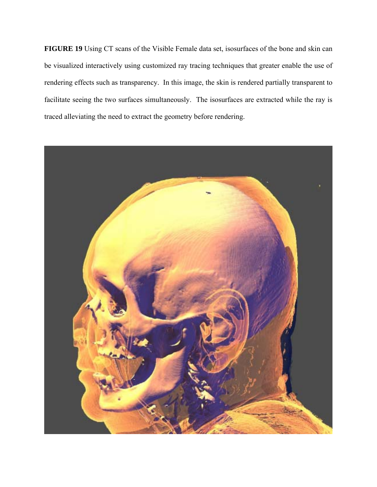**FIGURE 19** Using CT scans of the Visible Female data set, isosurfaces of the bone and skin can be visualized interactively using customized ray tracing techniques that greater enable the use of rendering effects such as transparency. In this image, the skin is rendered partially transparent to facilitate seeing the two surfaces simultaneously. The isosurfaces are extracted while the ray is traced alleviating the need to extract the geometry before rendering.

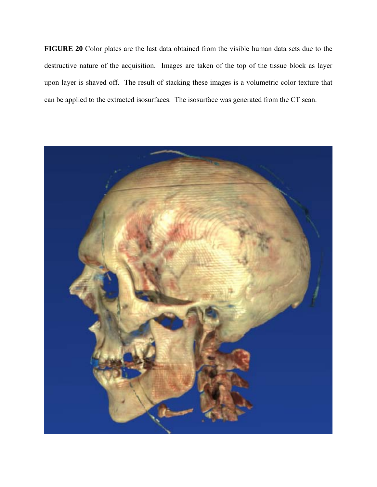**FIGURE 20** Color plates are the last data obtained from the visible human data sets due to the destructive nature of the acquisition. Images are taken of the top of the tissue block as layer upon layer is shaved off. The result of stacking these images is a volumetric color texture that can be applied to the extracted isosurfaces. The isosurface was generated from the CT scan.

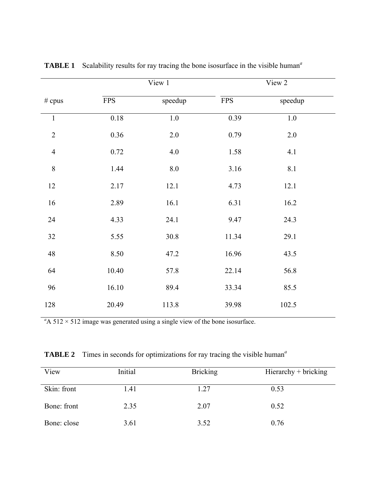|                |            | $\overline{\text{View}}$ 1 | $\overline{\text{View 2}}$ |         |  |
|----------------|------------|----------------------------|----------------------------|---------|--|
| $#$ cpus       | <b>FPS</b> | speedup                    | <b>FPS</b>                 | speedup |  |
| $\mathbf{1}$   | 0.18       | $1.0\,$                    | 0.39                       | $1.0\,$ |  |
| $\overline{2}$ | 0.36       | $2.0$                      | 0.79                       | $2.0\,$ |  |
| $\overline{4}$ | 0.72       | 4.0                        | 1.58                       | 4.1     |  |
| 8              | 1.44       | $8.0\,$                    | 3.16                       | 8.1     |  |
| 12             | 2.17       | 12.1                       | 4.73                       | 12.1    |  |
| 16             | 2.89       | 16.1                       | 6.31                       | 16.2    |  |
| 24             | 4.33       | 24.1                       | 9.47                       | 24.3    |  |
| 32             | 5.55       | 30.8                       | 11.34                      | 29.1    |  |
| 48             | 8.50       | 47.2                       | 16.96                      | 43.5    |  |
| 64             | 10.40      | 57.8                       | 22.14                      | 56.8    |  |
| 96             | 16.10      | 89.4                       | 33.34                      | 85.5    |  |
| 128            | 20.49      | 113.8                      | 39.98                      | 102.5   |  |

**TABLE 1** Scalability results for ray tracing the bone isosurface in the visible human*<sup>a</sup>*

 $a<sup>a</sup>A$  512 × 512 image was generated using a single view of the bone isosurface.

**TABLE 2** Times in seconds for optimizations for ray tracing the visible human*<sup>a</sup>*

| View        | Initial | <b>Bricking</b> | Hierarchy + bricking |
|-------------|---------|-----------------|----------------------|
| Skin: front | 1.41    | 1.27            | 0.53                 |
| Bone: front | 2.35    | 2.07            | 0.52                 |
| Bone: close | 3.61    | 3.52            | 0.76                 |